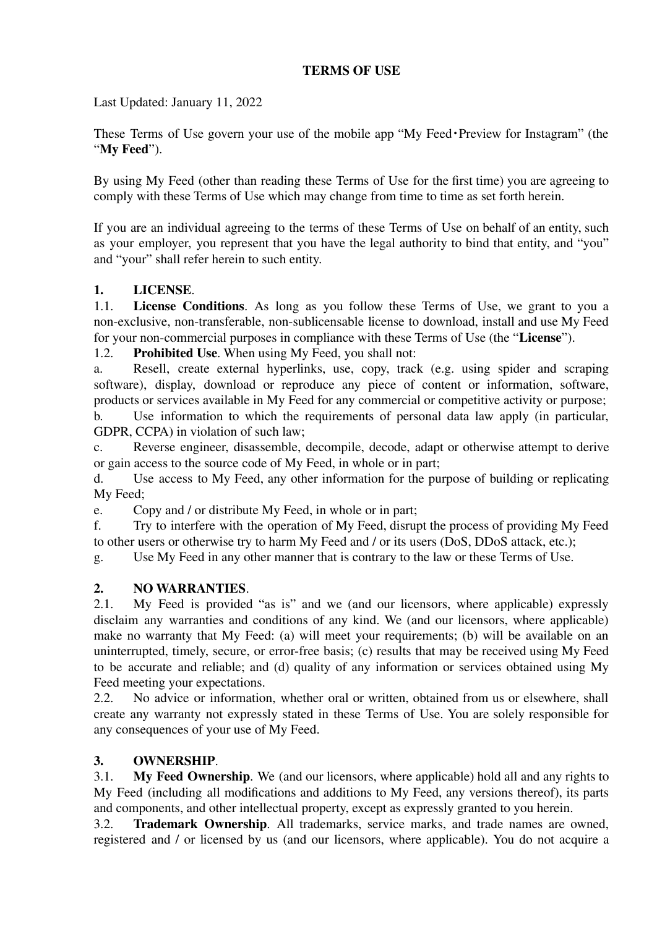### **TERMS OF USE**

Last Updated: January 11, 2022

These Terms of Use govern your use of the mobile app "My Feed・Preview for Instagram" (the "**My Feed**").

By using My Feed (other than reading these Terms of Use for the first time) you are agreeing to comply with these Terms of Use which may change from time to time as set forth herein.

If you are an individual agreeing to the terms of these Terms of Use on behalf of an entity, such as your employer, you represent that you have the legal authority to bind that entity, and "you" and "your" shall refer herein to such entity.

## **1. LICENSE**.

1.1. **License Conditions**. As long as you follow these Terms of Use, we grant to you a non-exclusive, non-transferable, non-sublicensable license to download, install and use My Feed for your non-commercial purposes in compliance with these Terms of Use (the "**License**").

1.2. **Prohibited Use**. When using My Feed, you shall not:

a. Resell, create external hyperlinks, use, copy, track (e.g. using spider and scraping software), display, download or reproduce any piece of content or information, software, products or services available in My Feed for any commercial or competitive activity or purpose; b. Use information to which the requirements of personal data law apply (in particular,

GDPR, CCPA) in violation of such law;

c. Reverse engineer, disassemble, decompile, decode, adapt or otherwise attempt to derive or gain access to the source code of My Feed, in whole or in part;

d. Use access to My Feed, any other information for the purpose of building or replicating My Feed;

e. Copy and / or distribute My Feed, in whole or in part;

f. Try to interfere with the operation of My Feed, disrupt the process of providing My Feed to other users or otherwise try to harm My Feed and / or its users (DoS, DDoS attack, etc.);

g. Use My Feed in any other manner that is contrary to the law or these Terms of Use.

### **2. NO WARRANTIES**.

2.1. My Feed is provided "as is" and we (and our licensors, where applicable) expressly disclaim any warranties and conditions of any kind. We (and our licensors, where applicable) make no warranty that My Feed: (a) will meet your requirements; (b) will be available on an uninterrupted, timely, secure, or error-free basis; (c) results that may be received using My Feed to be accurate and reliable; and (d) quality of any information or services obtained using My Feed meeting your expectations.<br>2.2. No advice or information

No advice or information, whether oral or written, obtained from us or elsewhere, shall create any warranty not expressly stated in these Terms of Use. You are solely responsible for any consequences of your use of My Feed.

## **3. OWNERSHIP**.

3.1. **My Feed Ownership**. We (and our licensors, where applicable) hold all and any rights to My Feed (including all modifications and additions to My Feed, any versions thereof), its parts and components, and other intellectual property, except as expressly granted to you herein.

3.2. **Trademark Ownership**. All trademarks, service marks, and trade names are owned, registered and / or licensed by us (and our licensors, where applicable). You do not acquire a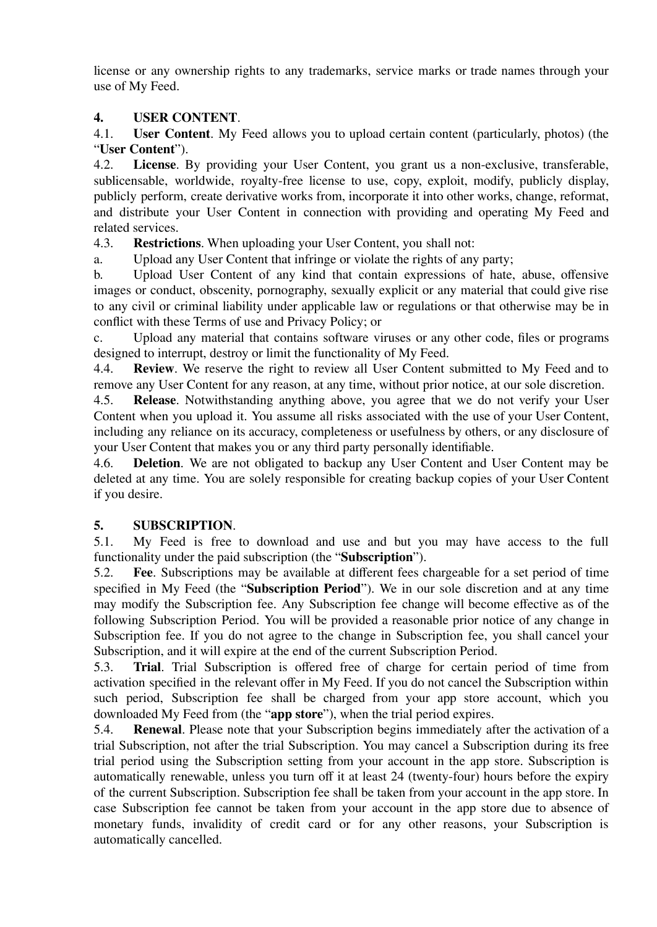license or any ownership rights to any trademarks, service marks or trade names through your use of My Feed.

# **4. USER CONTENT**.

4.1. **User Content**. My Feed allows you to upload certain content (particularly, photos) (the "**User Content**").

4.2. **License**. By providing your User Content, you grant us a non-exclusive, transferable, sublicensable, worldwide, royalty-free license to use, copy, exploit, modify, publicly display, publicly perform, create derivative works from, incorporate it into other works, change, reformat, and distribute your User Content in connection with providing and operating My Feed and related services.

4.3. **Restrictions**. When uploading your User Content, you shall not:

a. Upload any User Content that infringe or violate the rights of any party;

b. Upload User Content of any kind that contain expressions of hate, abuse, offensive images or conduct, obscenity, pornography, sexually explicit or any material that could give rise to any civil or criminal liability under applicable law or regulations or that otherwise may be in conflict with these Terms of use and Privacy Policy; or

c. Upload any material that contains software viruses or any other code, files or programs designed to interrupt, destroy or limit the functionality of My Feed.

4.4. **Review**. We reserve the right to review all User Content submitted to My Feed and to remove any User Content for any reason, at any time, without prior notice, at our sole discretion.

4.5. **Release**. Notwithstanding anything above, you agree that we do not verify your User Content when you upload it. You assume all risks associated with the use of your User Content, including any reliance on its accuracy, completeness or usefulness by others, or any disclosure of your User Content that makes you or any third party personally identifiable.

4.6. **Deletion**. We are not obligated to backup any User Content and User Content may be deleted at any time. You are solely responsible for creating backup copies of your User Content if you desire.

## **5. SUBSCRIPTION**.

5.1. My Feed is free to download and use and but you may have access to the full functionality under the paid subscription (the "**Subscription**").

5.2. **Fee**. Subscriptions may be available at different fees chargeable for a set period of time specified in My Feed (the "**Subscription Period**"). We in our sole discretion and at any time may modify the Subscription fee. Any Subscription fee change will become effective as of the following Subscription Period. You will be provided a reasonable prior notice of any change in Subscription fee. If you do not agree to the change in Subscription fee, you shall cancel your Subscription, and it will expire at the end of the current Subscription Period.

5.3. **Trial**. Trial Subscription is offered free of charge for certain period of time from activation specified in the relevant offer in My Feed. If you do not cancel the Subscription within such period, Subscription fee shall be charged from your app store account, which you downloaded My Feed from (the "**app store**"), when the trial period expires.

5.4. **Renewal**. Please note that your Subscription begins immediately after the activation of a trial Subscription, not after the trial Subscription. You may cancel a Subscription during its free trial period using the Subscription setting from your account in the app store. Subscription is automatically renewable, unless you turn off it at least 24 (twenty-four) hours before the expiry of the current Subscription. Subscription fee shall be taken from your account in the app store. In case Subscription fee cannot be taken from your account in the app store due to absence of monetary funds, invalidity of credit card or for any other reasons, your Subscription is automatically cancelled.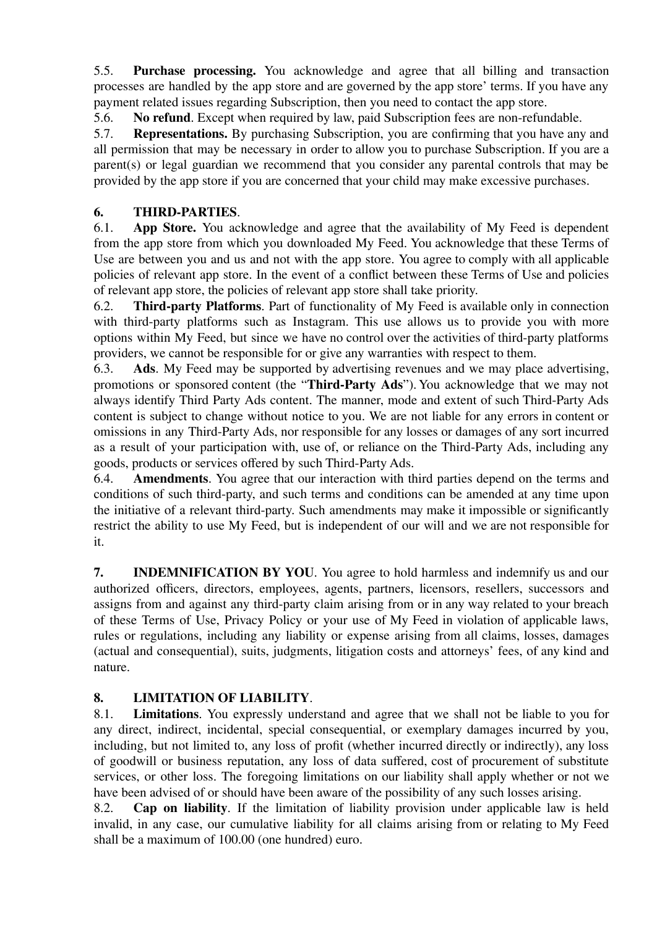5.5. **Purchase processing.** You acknowledge and agree that all billing and transaction processes are handled by the app store and are governed by the app store' terms. If you have any payment related issues regarding Subscription, then you need to contact the app store.

5.6. **No refund**. Except when required by law, paid Subscription fees are non-refundable.

5.7. **Representations.** By purchasing Subscription, you are confirming that you have any and all permission that may be necessary in order to allow you to purchase Subscription. If you are a parent(s) or legal guardian we recommend that you consider any parental controls that may be provided by the app store if you are concerned that your child may make excessive purchases.

# **6. THIRD-PARTIES**.

6.1. **App Store.** You acknowledge and agree that the availability of My Feed is dependent from the app store from which you downloaded My Feed. You acknowledge that these Terms of Use are between you and us and not with the app store. You agree to comply with all applicable policies of relevant app store. In the event of a conflict between these Terms of Use and policies of relevant app store, the policies of relevant app store shall take priority.

6.2. **Third-party Platforms**. Part of functionality of My Feed is available only in connection with third-party platforms such as Instagram. This use allows us to provide you with more options within My Feed, but since we have no control over the activities of third-party platforms providers, we cannot be responsible for or give any warranties with respect to them.

6.3. **Ads**. My Feed may be supported by advertising revenues and we may place advertising, promotions or sponsored content (the "**Third-Party Ads**"). You acknowledge that we may not always identify Third Party Ads content. The manner, mode and extent of such Third-Party Ads content is subject to change without notice to you. We are not liable for any errors in content or omissions in any Third-Party Ads, nor responsible for any losses or damages of any sort incurred as a result of your participation with, use of, or reliance on the Third-Party Ads, including any goods, products or services offered by such Third-Party Ads.

6.4. **Amendments**. You agree that our interaction with third parties depend on the terms and conditions of such third-party, and such terms and conditions can be amended at any time upon the initiative of a relevant third-party. Such amendments may make it impossible or significantly restrict the ability to use My Feed, but is independent of our will and we are not responsible for it.

**7. INDEMNIFICATION BY YOU**. You agree to hold harmless and indemnify us and our authorized officers, directors, employees, agents, partners, licensors, resellers, successors and assigns from and against any third-party claim arising from or in any way related to your breach of these Terms of Use, Privacy Policy or your use of My Feed in violation of applicable laws, rules or regulations, including any liability or expense arising from all claims, losses, damages (actual and consequential), suits, judgments, litigation costs and attorneys' fees, of any kind and nature.

## **8. LIMITATION OF LIABILITY**.

8.1. **Limitations**. You expressly understand and agree that we shall not be liable to you for any direct, indirect, incidental, special consequential, or exemplary damages incurred by you, including, but not limited to, any loss of profit (whether incurred directly or indirectly), any loss of goodwill or business reputation, any loss of data suffered, cost of procurement of substitute services, or other loss. The foregoing limitations on our liability shall apply whether or not we have been advised of or should have been aware of the possibility of any such losses arising.

8.2. **Cap on liability**. If the limitation of liability provision under applicable law is held invalid, in any case, our cumulative liability for all claims arising from or relating to My Feed shall be a maximum of 100.00 (one hundred) euro.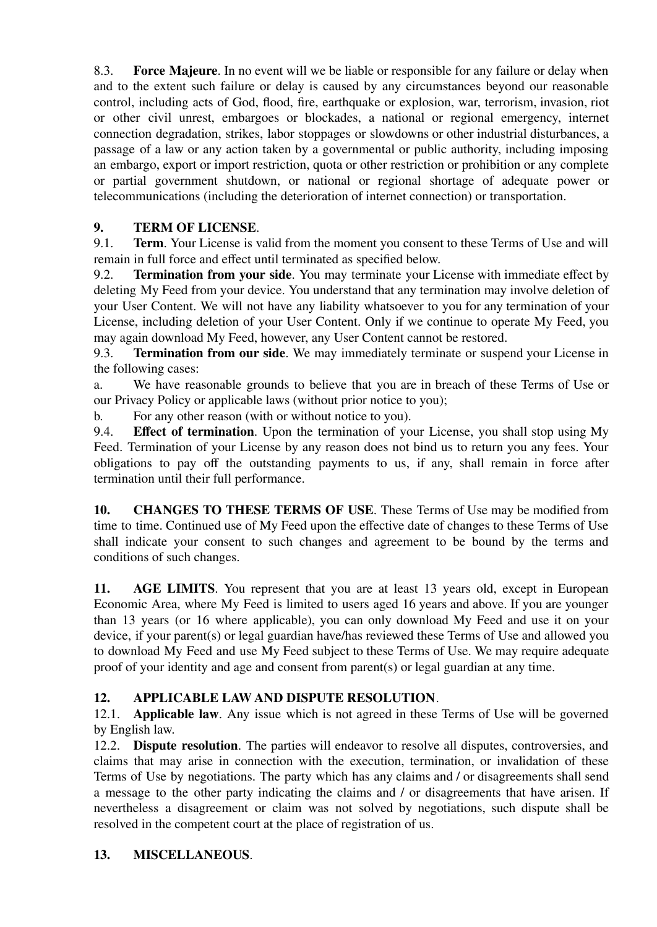8.3. **Force Majeure**. In no event will we be liable or responsible for any failure or delay when and to the extent such failure or delay is caused by any circumstances beyond our reasonable control, including acts of God, flood, fire, earthquake or explosion, war, terrorism, invasion, riot or other civil unrest, embargoes or blockades, a national or regional emergency, internet connection degradation, strikes, labor stoppages or slowdowns or other industrial disturbances, a passage of a law or any action taken by a governmental or public authority, including imposing an embargo, export or import restriction, quota or other restriction or prohibition or any complete or partial government shutdown, or national or regional shortage of adequate power or telecommunications (including the deterioration of internet connection) or transportation.

# **9. TERM OF LICENSE**.

9.1. **Term**. Your License is valid from the moment you consent to these Terms of Use and will remain in full force and effect until terminated as specified below.

9.2. **Termination from your side**. You may terminate your License with immediate effect by deleting My Feed from your device. You understand that any termination may involve deletion of your User Content. We will not have any liability whatsoever to you for any termination of your License, including deletion of your User Content. Only if we continue to operate My Feed, you may again download My Feed, however, any User Content cannot be restored.

9.3. **Termination from our side**. We may immediately terminate or suspend your License in the following cases:

a. We have reasonable grounds to believe that you are in breach of these Terms of Use or our Privacy Policy or applicable laws (without prior notice to you);

b. For any other reason (with or without notice to you).<br>9.4. **Effect of termination**. Upon the termination of vo

**Effect of termination.** Upon the termination of your License, you shall stop using My Feed. Termination of your License by any reason does not bind us to return you any fees. Your obligations to pay off the outstanding payments to us, if any, shall remain in force after termination until their full performance.

**10. CHANGES TO THESE TERMS OF USE**. These Terms of Use may be modified from time to time. Continued use of My Feed upon the effective date of changes to these Terms of Use shall indicate your consent to such changes and agreement to be bound by the terms and conditions of such changes.

**11. AGE LIMITS**. You represent that you are at least 13 years old, except in European Economic Area, where My Feed is limited to users aged 16 years and above. If you are younger than 13 years (or 16 where applicable), you can only download My Feed and use it on your device, if your parent(s) or legal guardian have/has reviewed these Terms of Use and allowed you to download My Feed and use My Feed subject to these Terms of Use. We may require adequate proof of your identity and age and consent from parent(s) or legal guardian at any time.

## **12. APPLICABLE LAW AND DISPUTE RESOLUTION**.

12.1. **Applicable law**. Any issue which is not agreed in these Terms of Use will be governed by English law.

12.2. **Dispute resolution**. The parties will endeavor to resolve all disputes, controversies, and claims that may arise in connection with the execution, termination, or invalidation of these Terms of Use by negotiations. The party which has any claims and / or disagreements shall send a message to the other party indicating the claims and / or disagreements that have arisen. If nevertheless a disagreement or claim was not solved by negotiations, such dispute shall be resolved in the competent court at the place of registration of us.

## **13. MISCELLANEOUS**.